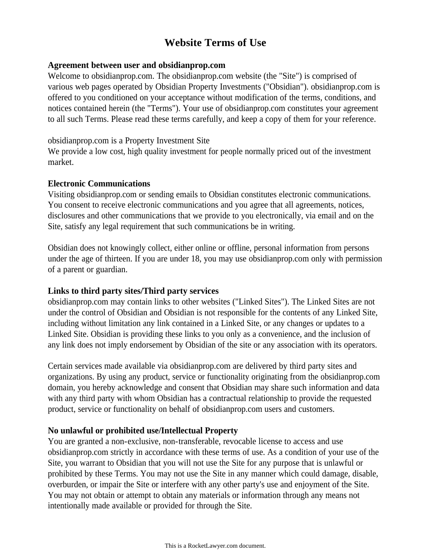# **Website Terms of Use**

#### **Agreement between user and obsidianprop.com**

Welcome to obsidianprop.com. The obsidianprop.com website (the "Site") is comprised of various web pages operated by Obsidian Property Investments ("Obsidian"). obsidianprop.com is offered to you conditioned on your acceptance without modification of the terms, conditions, and notices contained herein (the "Terms"). Your use of obsidianprop.com constitutes your agreement to all such Terms. Please read these terms carefully, and keep a copy of them for your reference.

## obsidianprop.com is a Property Investment Site

We provide a low cost, high quality investment for people normally priced out of the investment market.

## **Electronic Communications**

Visiting obsidianprop.com or sending emails to Obsidian constitutes electronic communications. You consent to receive electronic communications and you agree that all agreements, notices, disclosures and other communications that we provide to you electronically, via email and on the Site, satisfy any legal requirement that such communications be in writing.

Obsidian does not knowingly collect, either online or offline, personal information from persons under the age of thirteen. If you are under 18, you may use obsidianprop.com only with permission of a parent or guardian.

# **Links to third party sites/Third party services**

obsidianprop.com may contain links to other websites ("Linked Sites"). The Linked Sites are not under the control of Obsidian and Obsidian is not responsible for the contents of any Linked Site, including without limitation any link contained in a Linked Site, or any changes or updates to a Linked Site. Obsidian is providing these links to you only as a convenience, and the inclusion of any link does not imply endorsement by Obsidian of the site or any association with its operators.

Certain services made available via obsidianprop.com are delivered by third party sites and organizations. By using any product, service or functionality originating from the obsidianprop.com domain, you hereby acknowledge and consent that Obsidian may share such information and data with any third party with whom Obsidian has a contractual relationship to provide the requested product, service or functionality on behalf of obsidianprop.com users and customers.

# **No unlawful or prohibited use/Intellectual Property**

You are granted a non-exclusive, non-transferable, revocable license to access and use obsidianprop.com strictly in accordance with these terms of use. As a condition of your use of the Site, you warrant to Obsidian that you will not use the Site for any purpose that is unlawful or prohibited by these Terms. You may not use the Site in any manner which could damage, disable, overburden, or impair the Site or interfere with any other party's use and enjoyment of the Site. You may not obtain or attempt to obtain any materials or information through any means not intentionally made available or provided for through the Site.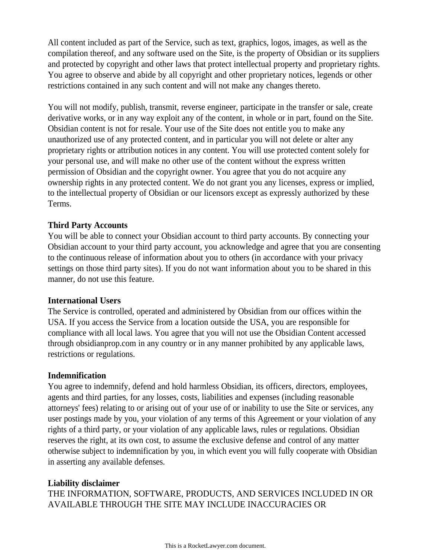All content included as part of the Service, such as text, graphics, logos, images, as well as the compilation thereof, and any software used on the Site, is the property of Obsidian or its suppliers and protected by copyright and other laws that protect intellectual property and proprietary rights. You agree to observe and abide by all copyright and other proprietary notices, legends or other restrictions contained in any such content and will not make any changes thereto.

You will not modify, publish, transmit, reverse engineer, participate in the transfer or sale, create derivative works, or in any way exploit any of the content, in whole or in part, found on the Site. Obsidian content is not for resale. Your use of the Site does not entitle you to make any unauthorized use of any protected content, and in particular you will not delete or alter any proprietary rights or attribution notices in any content. You will use protected content solely for your personal use, and will make no other use of the content without the express written permission of Obsidian and the copyright owner. You agree that you do not acquire any ownership rights in any protected content. We do not grant you any licenses, express or implied, to the intellectual property of Obsidian or our licensors except as expressly authorized by these Terms.

## **Third Party Accounts**

You will be able to connect your Obsidian account to third party accounts. By connecting your Obsidian account to your third party account, you acknowledge and agree that you are consenting to the continuous release of information about you to others (in accordance with your privacy settings on those third party sites). If you do not want information about you to be shared in this manner, do not use this feature.

#### **International Users**

The Service is controlled, operated and administered by Obsidian from our offices within the USA. If you access the Service from a location outside the USA, you are responsible for compliance with all local laws. You agree that you will not use the Obsidian Content accessed through obsidianprop.com in any country or in any manner prohibited by any applicable laws, restrictions or regulations.

#### **Indemnification**

You agree to indemnify, defend and hold harmless Obsidian, its officers, directors, employees, agents and third parties, for any losses, costs, liabilities and expenses (including reasonable attorneys' fees) relating to or arising out of your use of or inability to use the Site or services, any user postings made by you, your violation of any terms of this Agreement or your violation of any rights of a third party, or your violation of any applicable laws, rules or regulations. Obsidian reserves the right, at its own cost, to assume the exclusive defense and control of any matter otherwise subject to indemnification by you, in which event you will fully cooperate with Obsidian in asserting any available defenses.

#### **Liability disclaimer**

THE INFORMATION, SOFTWARE, PRODUCTS, AND SERVICES INCLUDED IN OR AVAILABLE THROUGH THE SITE MAY INCLUDE INACCURACIES OR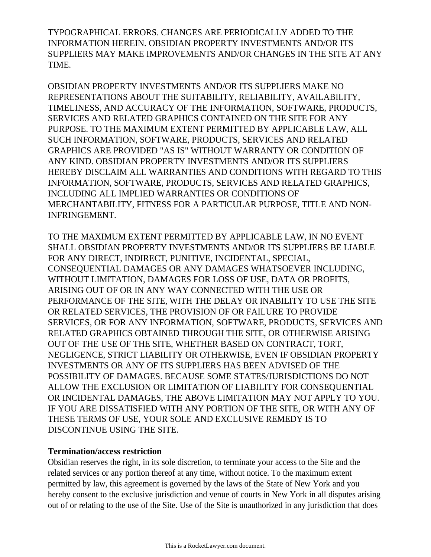TYPOGRAPHICAL ERRORS. CHANGES ARE PERIODICALLY ADDED TO THE INFORMATION HEREIN. OBSIDIAN PROPERTY INVESTMENTS AND/OR ITS SUPPLIERS MAY MAKE IMPROVEMENTS AND/OR CHANGES IN THE SITE AT ANY TIME.

OBSIDIAN PROPERTY INVESTMENTS AND/OR ITS SUPPLIERS MAKE NO REPRESENTATIONS ABOUT THE SUITABILITY, RELIABILITY, AVAILABILITY, TIMELINESS, AND ACCURACY OF THE INFORMATION, SOFTWARE, PRODUCTS, SERVICES AND RELATED GRAPHICS CONTAINED ON THE SITE FOR ANY PURPOSE. TO THE MAXIMUM EXTENT PERMITTED BY APPLICABLE LAW, ALL SUCH INFORMATION, SOFTWARE, PRODUCTS, SERVICES AND RELATED GRAPHICS ARE PROVIDED "AS IS" WITHOUT WARRANTY OR CONDITION OF ANY KIND. OBSIDIAN PROPERTY INVESTMENTS AND/OR ITS SUPPLIERS HEREBY DISCLAIM ALL WARRANTIES AND CONDITIONS WITH REGARD TO THIS INFORMATION, SOFTWARE, PRODUCTS, SERVICES AND RELATED GRAPHICS, INCLUDING ALL IMPLIED WARRANTIES OR CONDITIONS OF MERCHANTABILITY, FITNESS FOR A PARTICULAR PURPOSE, TITLE AND NON-INFRINGEMENT.

TO THE MAXIMUM EXTENT PERMITTED BY APPLICABLE LAW, IN NO EVENT SHALL OBSIDIAN PROPERTY INVESTMENTS AND/OR ITS SUPPLIERS BE LIABLE FOR ANY DIRECT, INDIRECT, PUNITIVE, INCIDENTAL, SPECIAL, CONSEQUENTIAL DAMAGES OR ANY DAMAGES WHATSOEVER INCLUDING, WITHOUT LIMITATION, DAMAGES FOR LOSS OF USE, DATA OR PROFITS, ARISING OUT OF OR IN ANY WAY CONNECTED WITH THE USE OR PERFORMANCE OF THE SITE, WITH THE DELAY OR INABILITY TO USE THE SITE OR RELATED SERVICES, THE PROVISION OF OR FAILURE TO PROVIDE SERVICES, OR FOR ANY INFORMATION, SOFTWARE, PRODUCTS, SERVICES AND RELATED GRAPHICS OBTAINED THROUGH THE SITE, OR OTHERWISE ARISING OUT OF THE USE OF THE SITE, WHETHER BASED ON CONTRACT, TORT, NEGLIGENCE, STRICT LIABILITY OR OTHERWISE, EVEN IF OBSIDIAN PROPERTY INVESTMENTS OR ANY OF ITS SUPPLIERS HAS BEEN ADVISED OF THE POSSIBILITY OF DAMAGES. BECAUSE SOME STATES/JURISDICTIONS DO NOT ALLOW THE EXCLUSION OR LIMITATION OF LIABILITY FOR CONSEQUENTIAL OR INCIDENTAL DAMAGES, THE ABOVE LIMITATION MAY NOT APPLY TO YOU. IF YOU ARE DISSATISFIED WITH ANY PORTION OF THE SITE, OR WITH ANY OF THESE TERMS OF USE, YOUR SOLE AND EXCLUSIVE REMEDY IS TO DISCONTINUE USING THE SITE.

#### **Termination/access restriction**

Obsidian reserves the right, in its sole discretion, to terminate your access to the Site and the related services or any portion thereof at any time, without notice. To the maximum extent permitted by law, this agreement is governed by the laws of the State of New York and you hereby consent to the exclusive jurisdiction and venue of courts in New York in all disputes arising out of or relating to the use of the Site. Use of the Site is unauthorized in any jurisdiction that does